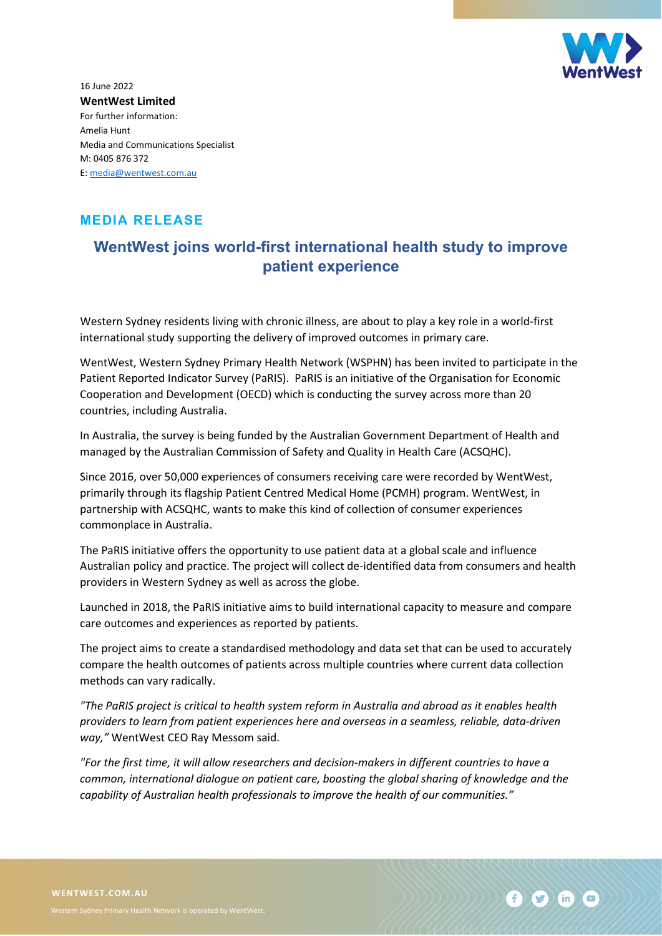

16 June 2022 **WentWest Limited** For further information: Amelia Hunt Media and Communications Specialist M: 0405 876 372 E: [media@wentwest.com.au](mailto:media@wentwest.com.au)

## **MEDIA RELEASE**

## **WentWest joins world-first international health study to improve patient experience**

Western Sydney residents living with chronic illness, are about to play a key role in a world-first international study supporting the delivery of improved outcomes in primary care.

WentWest, Western Sydney Primary Health Network (WSPHN) has been invited to participate in the Patient Reported Indicator Survey (PaRIS). PaRIS is an initiative of the Organisation for Economic Cooperation and Development (OECD) which is conducting the survey across more than 20 countries, including Australia.

In Australia, the survey is being funded by the Australian Government Department of Health and managed by the Australian Commission of Safety and Quality in Health Care (ACSQHC).

Since 2016, over 50,000 experiences of consumers receiving care were recorded by WentWest, primarily through its flagship Patient Centred Medical Home (PCMH) program. WentWest, in partnership with ACSQHC, wants to make this kind of collection of consumer experiences commonplace in Australia.

The PaRIS initiative offers the opportunity to use patient data at a global scale and influence Australian policy and practice. The project will collect de-identified data from consumers and health providers in Western Sydney as well as across the globe.

Launched in 2018, the PaRIS initiative aims to build international capacity to measure and compare care outcomes and experiences as reported by patients.

The project aims to create a standardised methodology and data set that can be used to accurately compare the health outcomes of patients across multiple countries where current data collection methods can vary radically.

*"The PaRIS project is critical to health system reform in Australia and abroad as it enables health providers to learn from patient experiences here and overseas in a seamless, reliable, data-driven way,"* WentWest CEO Ray Messom said.

*"For the first time, it will allow researchers and decision-makers in different countries to have a common, international dialogue on patient care, boosting the global sharing of knowledge and the capability of Australian health professionals to improve the health of our communities."*